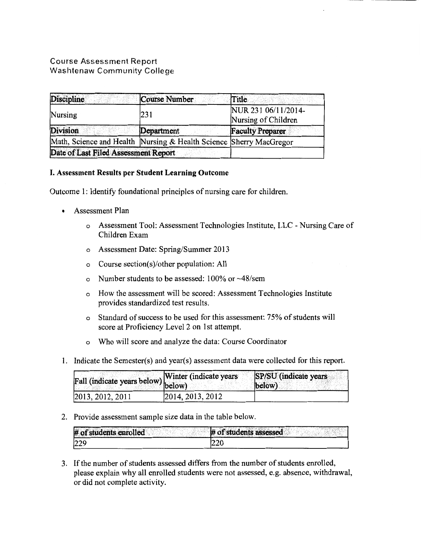# Course Assessment Report Washtenaw Community College

| Discipline                                                         | Course Number | Title                                      |  |
|--------------------------------------------------------------------|---------------|--------------------------------------------|--|
| Nursing                                                            | 231           | NUR 231 06/11/2014-<br>Nursing of Children |  |
| <b>Division</b>                                                    | Department    | <b>Faculty Preparer</b>                    |  |
| Math, Science and Health Nursing & Health Science Sherry MacGregor |               |                                            |  |
| Date of Last Filed Assessment Report                               |               |                                            |  |

# I. Assessment Results per Student Learning Outcome

Outcome 1: Identify foundational principles of nursing care for children.

- Assessment Plan
	- o Assessment Tool: Assessment Technologies Institute, LLC -Nursing Care of Children Exam
	- o Assessment Date: Spring/Summer 2013
	- o Course section(s)/other population: All
	- o Number students to be assessed: 100% or -48/sem
	- o How the assessment will be scored: Assessment Technologies Institute provides standardized test results.
	- o Standard of success to be used for this assessment: 75% of students will score at Proficiency Level 2 on 1st attempt.
	- o Who will score and analyze the data: Course Coordinator
- 1. Indicate the Semester(s) and year(s) assessment data were collected for this report.

| Fall (indicate years below) Winter (indicate years |                    | SP/SU (indicate years)<br>(below) |
|----------------------------------------------------|--------------------|-----------------------------------|
| 2013, 2012, 2011                                   | [2014, 2013, 2012] |                                   |

2. Provide assessment sample size data in the table below.

| # of students enrolled | # of students assessed |
|------------------------|------------------------|
| 229                    | IZZU                   |

3. If the number of students assessed differs from the number of students enrolled, please explain why all enrolled students were not assessed, e.g. absence, withdrawal, or did not complete activity.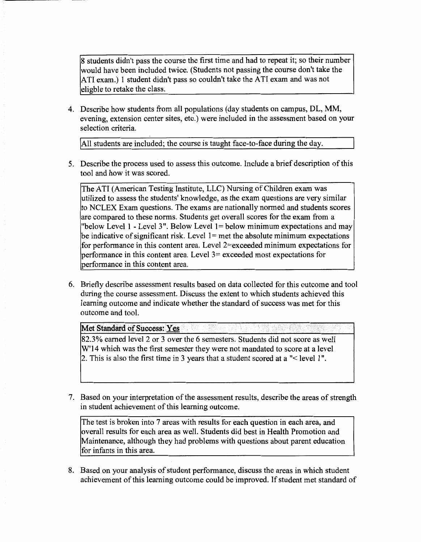8 students didn't pass the course the first time and had to repeat it; so their number would have been included twice. (Students not passing the course don't take the ATI exam.) 1 student didn't pass so couldn't take the ATI exam and was not eligble to retake the class.

4. Describe how students from all populations (day students on campus, DL, MM, evening, extension center sites, etc.) were included in the assessment based on your selection criteria.

All students are included; the course is taught face-to-face during the day.

5. Describe the process used to assess this outcome. Include a brief description of this tool and how it was scored.

The ATI (American Testing Institute, LLC) Nursing of Children exam was utilized to assess the students' knowledge, as the exam questions are very similar to NCLEX Exam questions. The exams are nationally normed and students scores are compared to these norms. Students get overall scores for the exam from a "below Level 1 - Level 3". Below Level  $1 =$  below minimum expectations and may be indicative of significant risk. Level  $1 =$  met the absolute minimum expectations for performance in this content area. Level 2=exceeded minimum expectations for performance in this content area. Level 3= exceeded most expectations for performance in this content area.

6. Briefly describe assessment results based on data collected for this outcome and tool during the course assessment. Discuss the extent to which students achieved this learning outcome and indicate whether the standard of success was met for this outcome and tool.

Met Standard of Success: Yes ...

82.3% earned level 2 or 3 over the 6 semesters. Students did not score as well W'14 which was the first semester they were not mandated to score at a level 2. This is also the first time in 3 years that a student scored at a"< level 1 ".

7. Based on your interpretation of the assessment results, describe the areas of strength in student achievement of this learning outcome.

The test is broken into 7 areas with results for each question in each area, and overall results for each area as well. Students did best in Health Promotion and Maintenance, although they had problems with questions about parent education for infants in this area.

8. Based on your analysis of student performance, discuss the areas in which student achievement of this learning outcome could be improved. If student met standard of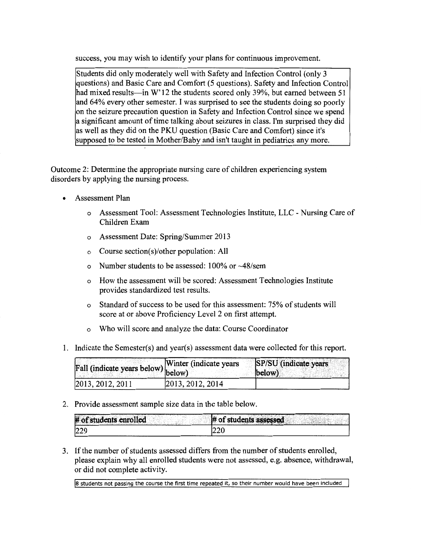success, you may wish to identify your plans for continuous improvement.

Students did only moderately well with Safety and Infection Control (only 3 questions) and Basic Care and Comfort (5 questions). Safety and Infection Control had mixed results—in W'12 the students scored only 39%, but earned between 51 and 64% every other semester. I was surprised to see the students doing so poorly on the seizure precaution question in Safety and Infection Control since we spend a significant amount of time talking about seizures in class. I'm surprised they did as well as they did on the PKU question (Basic Care and Comfort) since it's supposed to be tested in Mother/Baby and isn't taught in pediatrics any more.

Outcome 2: Determine the appropriate nursing care of children experiencing system disorders by applying the nursing process.

- Assessment Plan
	- o Assessment Tool: Assessment Technologies Institute, LLC Nursing Care of Children Exam
	- o Assessment Date: Spring/Summer 2013
	- o Course section(s)/other population: All
	- o Number students to be assessed:  $100\%$  or  $\sim$  48/sem
	- o How the assessment will be scored: Assessment Technologies Institute provides standardized test results.
	- o Standard of success to be used for this assessment: 75% of students will score at or above Proficiency Level 2 on first attempt.
	- o Who will score and analyze the data: Course Coordinator
- 1. Indicate the Semester(s) and year(s) assessment data were collected for this report.

| all (indicate years below) Winter (indicate years |                  | SP/SU (indicate years)<br>(below) |
|---------------------------------------------------|------------------|-----------------------------------|
| 2013, 2012, 2011                                  | 2013, 2012, 2014 |                                   |

2. Provide assessment sample size data in the table below.

| # of students enrolled | # of students assessed |
|------------------------|------------------------|
| 200                    | $\sim$<br>∠∠∪          |

3. If the number of students assessed differs from the number of students enrolled, please explain why all enrolled students were not assessed, e.g. absence, withdrawal, or did not complete activity.

Ia students not passing the course the first time repeated it, so their number would have been included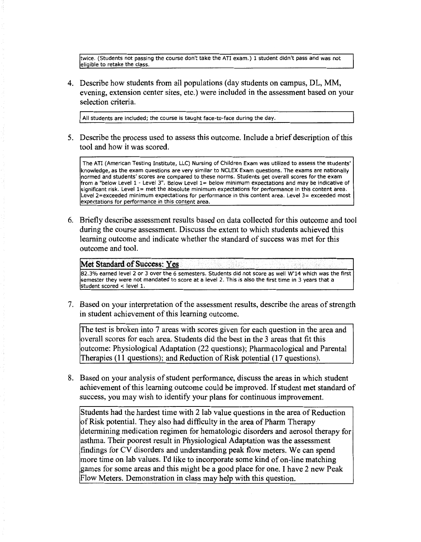twice. (Students not passing the course don't take the ATI exam.) 1 student didn't pass and was not eligible to retake the class.

4. Describe how students from all populations (day students on campus, DL, MM, evening, extension center sites, etc.) were included in the assessment based on your selection criteria.

All students are included; the course is taught face-to-face during the day.

5. Describe the process used to assess this outcome. Include a brief description of this tool and how it was scored.

The ATI (American Testing Institute, LLC) Nursing of Children Exam was utilized to assess the students' knowledge, as the exam questions are very similar to NCLEX Exam questions. The exams are nationally normed and students' scores are compared to these norms. Students get overall scores for the exam from a "below Level 1 - Level 3". Below Level 1= below minimum expectations and may be indicative of significant risk. Level 1= met the absolute minimum expectations for performance in this content area. Level 2=exceeded minimum expectations for performance in this content area. Level 3= exceeded most expectations for performance in this content area.

6. Briefly describe assessment results based on data collected for this outcome and tool during the course assessment. Discuss the extent to which students achieved this learning outcome and indicate whether the standard of success was met for this outcome and tool.

## **Met Standard of Success: Yes**

82.3% earned level 2 or 3 over the 6 semesters. Students did not score as well W'14 which was the first semester they were not mandated to score at a level 2. This is also the first time in 3 years that a student scored < level 1.

7. Based on your interpretation of the assessment results, describe the areas of strength in student achievement of this learning outcome.

The test is broken into 7 areas with scores given for each question in the area and overall scores for each area. Students did the best in the 3 areas that fit this outcome: Physiological Adaptation (22 questions); Pharmacological and Parental Therapies (11 questions); and Reduction of Risk potential (17 questions).

8. Based on your analysis of student performance, discuss the areas in which student achievement of this learning outcome could be improved. If student met standard of success, you may wish to identify your plans for continuous improvement.

Students had the hardest time with 2 lab value questions in the area of Reduction of Risk potential. They also had difficulty in the area of Pharm Therapy determining medication regimen for hematologic disorders and aerosol therapy for asthma. Their poorest result in Physiological Adaptation was the assessment findings for CV disorders and understanding peak flow meters. We can spend more time on lab values. I'd like to incorporate some kind of on-line matching games for some areas and this might be a good place for one. I have 2 new Peak Flow Meters. Demonstration in class may help with this question.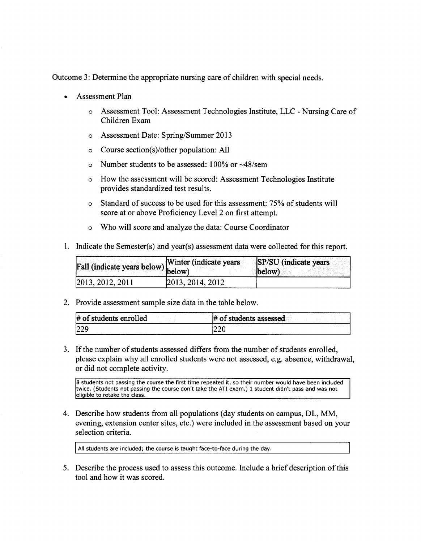Outcome 3: Determine the appropriate nursing care of children with special needs.

- Assessment Plan
	- o Assessment Tool: Assessment Technologies Institute, LLC- Nursing Care of Children Exam
	- o Assessment Date: Spring/Summer 2013
	- o Course section(s)/other population: All
	- o Number students to be assessed:  $100\%$  or  $\sim$  48/sem
	- o How the assessment will be scored: Assessment Technologies Institute provides standardized test results.
	- o Standard of success to be used for this assessment: 75% of students will score at or above Proficiency Level 2 on first attempt.
	- o Who will score and analyze the data: Course Coordinator
- 1. Indicate the Semester(s) and year(s) assessment data were collected for this report.

| Fall (indicate years below) Winter (indicate years |                  | SP/SU (indicate years<br>(below) |
|----------------------------------------------------|------------------|----------------------------------|
| 2013, 2012, 2011                                   | 2013, 2014, 2012 |                                  |

2. Provide assessment sample size data in the table below.

| $#$ of students enrolled | of students assessed<br>I₩ |
|--------------------------|----------------------------|
| عددا                     | $\sim$ $\sim$ $\sim$       |
| 12 Z                     | ZZU                        |

3. If the number of students assessed differs from the number of students enrolled, please explain why all enrolled students were not assessed, e.g. absence, withdrawal, or did not complete activity.

8 students not passing the course the first time repeated it, so their number would have been included twice. (Students not passing the course don't take the ATI exam.) 1 student didn't pass and was not eligible to retake the class.

4. Describe how students from all populations (day students on campus, DL, MM, evening, extension center sites, etc.) were included in the assessment based on your selection criteria.

All students are included; the course is taught face-to-face during the day.

5. Describe the process used to assess this outcome. Include a brief description of this tool and how it was scored.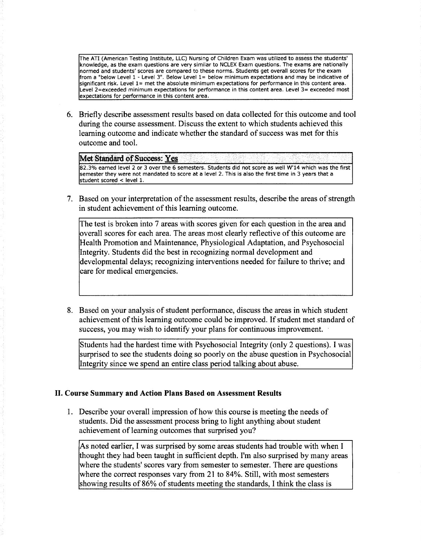The ATI (American Testing Institute, LLC) Nursing of Children Exam was utilized to assess the students' knowledge, as the exam questions are very similar to NCLEX Exam questions. The exams are nationally normed and students' scores are compared to these norms. Students get overall scores for the exam from a "below Level 1 - Level 3". Below Level 1= below minimum expectations and may be indicative of significant risk. Level 1= met the absolute minimum expectations for performance in this content area. Level 2=exceeded minimum expectations for performance in this content area. Level 3= exceeded most expectations for performance in this content area.

6. Briefly describe assessment results based on data collected for this outcome and tool during the course assessment. Discuss the extent to which students achieved this learning outcome and indicate whether the standard of success was met for this outcome and tool.

Met Standard of Success: Yes 82.3% earned level 2 or 3 over the 6 semesters. Students did not score as well W'14 which was the first semester they were not mandated to score at a level 2. This is also the first time in 3 years that a student scored < level 1.

7. Based on your interpretation of the assessment results, describe the areas of strength in student achievement of this learning outcome.

The test is broken into 7 areas with scores given for each question in the area and overall scores for each area. The areas most clearly reflective of this outcome are Health Promotion and Maintenance, Physiological Adaptation, and Psychosocial Integrity. Students did the best in recognizing normal development and developmental delays; recognizing interventions needed for failure to thrive; and care for medical emergencies.

8. Based on your analysis of student performance, discuss the areas in which student achievement of this learning outcome could be improved. If student met standard of success, you may wish to identify your plans for continuous improvement.

Students had the hardest time with Psychosocial Integrity (only 2 questions). I was surprised to see the students doing so poorly on the abuse question in Psychosocial Integrity since we spend an entire class period talking about abuse.

# II. Course Summary and Action Plans Based on Assessment Results

1. Describe your overall impression of how this course is meeting the needs of students. Did the assessment process bring to light anything about student achievement of learning outcomes that surprised you?

As noted earlier, I was surprised by some areas students had trouble with when I thought they had been taught in sufficient depth. I'm also surprised by many areas where the students' scores vary from semester to semester. There are questions where the correct responses vary from 21 to 84%. Still, with most semesters showing results of 86% of students meeting the standards, I think the class is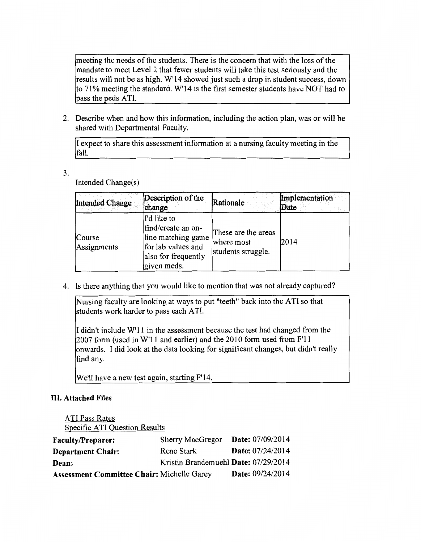meeting the needs of the students. There is the concern that with the loss of the mandate to meet Level 2 that fewer students will take this test seriously and the results will not be as high. W'14 showed just such a drop in student success, down to 71% meeting the standard. W'14 is the first semester students have NOT had to pass the peds ATI.

2. Describe when and how this information, including the action plan, was or will be shared with Departmental Faculty.

I expect to share this assessment information at a nursing faculty meeting in the fall.

3.

Intended Change(s)

| Intended Change              | Description of the<br>change                                                                                        | Rationale                                               | Implementation<br>Date |
|------------------------------|---------------------------------------------------------------------------------------------------------------------|---------------------------------------------------------|------------------------|
| <b>Course</b><br>Assignments | I'd like to<br>find/create an on-<br>line matching game<br>for lab values and<br>also for frequently<br>given meds. | These are the areas<br>where most<br>students struggle. | 2014                   |

4. Is there anything that you would like to mention that was not already captured?

Nursing faculty are looking at ways to put "teeth" back into the ATI so that students work harder to pass each ATI.

I didn't include W'11 in the assessment because the test had changed from the 2007 form (used in W'11 and earlier) and the 2010 form used from F'11 onwards. I did look at the data looking for significant changes, but didn't really find any.

We'll have a new test again, starting F'14.

# III. Attached Files

ATI Pass Rates Specific ATI Question Results

| <b>Faculty/Preparer:</b>                   | <b>Sherry MacGregor</b>              | <b>Date:</b> 07/09/2014 |
|--------------------------------------------|--------------------------------------|-------------------------|
| <b>Department Chair:</b>                   | Rene Stark                           | Date: 07/24/2014        |
| Dean:                                      | Kristin Brandemuehl Date: 07/29/2014 |                         |
| Assessment Committee Chair: Michelle Garey |                                      | Date: 09/24/2014        |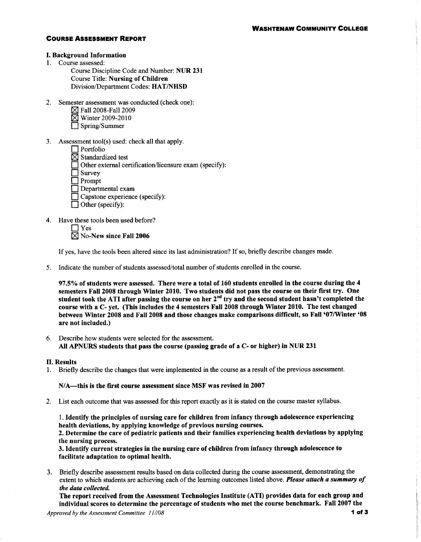## **COURSE ASSESSMENT REPORT**

#### **I. Background Information**

1. Course assessed:

Course Discipline Code and Number: NUR 231 **Course Title: Nursing of Children** Division/Department Codes: HAT/NHSD

- 2. Semester assessment was conducted (check one):
	- **X** Fall 2008-Fall 2009
	- **N** Winter 2009-2010
	- Spring/Summer
- 3. Assessment tool(s) used: check all that apply.
	- $\Box$  Portfolio
	- $\boxtimes$  Standardized test
	- Other external certification/licensure exam (specify):
	- $\Box$  Survey
	- $\Box$  Prompt
	- $\Box$  Departmental exam
	- $\Box$  Capstone experience (specify):
	- $\Box$  Other (specify):
- 4. Have these tools been used before?
	- $\bigcap$  Yes

 $\boxtimes$  No-New since Fall 2006

If yes, have the tools been altered since its last administration? If so, briefly describe changes made.

5. Indicate the number of students assessed/total number of students enrolled in the course.

97.5% of students were assessed. There were a total of 160 students enrolled in the course during the 4 semesters Fall 2008 through Winter 2010. Two students did not pass the course on their first try. One student took the ATI after passing the course on her 2<sup>nd</sup> try and the second student hasn't completed the course with a C- vet. (This includes the 4 semesters Fall 2008 through Winter 2010. The test changed between Winter 2008 and Fall 2008 and those changes make comparisons difficult, so Fall '07/Winter '08 are not included.)

6. Describe how students were selected for the assessment. All APNURS students that pass the course (passing grade of a C- or higher) in NUR 231

### **II. Results**

1. Briefly describe the changes that were implemented in the course as a result of the previous assessment.

### N/A—this is the first course assessment since MSF was revised in 2007

2. List each outcome that was assessed for this report exactly as it is stated on the course master syllabus.

1. Identify the principles of nursing care for children from infancy through adolescence experiencing health deviations, by applying knowledge of previous nursing courses. 2. Determine the care of pediatric patients and their families experiencing health deviations by applying

the nursing process. 3. Identify current strategies in the nursing care of children from infancy through adolescence to facilitate adaptation to optimal health.

3. Briefly describe assessment results based on data collected during the course assessment, demonstrating the extent to which students are achieving each of the learning outcomes listed above. Please attach a summary of the data collected.

The report received from the Assessment Technologies Institute (ATI) provides data for each group and individual scores to determine the percentage of students who met the course benchmark. Fall 2007 the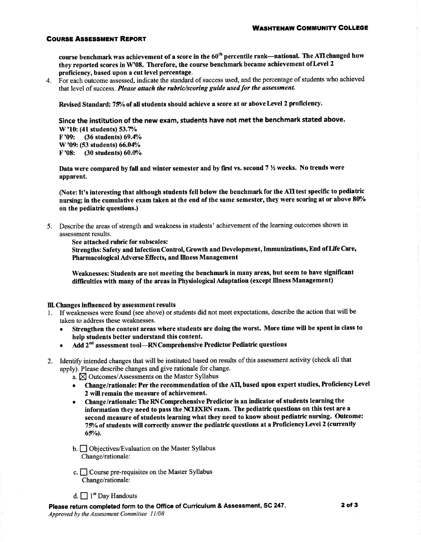### **COURSE ASSESSMENT REPORT**

course benchmark was achievement of a score in the 60<sup>th</sup> percentile rank---national. The ATI changed how they reported scores in W'08. Therefore, the course benchmark became achievement of Level 2 proficiency, based upon a cut level percentage.

4. For each outcome assessed, indicate the standard of success used, and the percentage of students who achieved that level of success. Please attach the rubric/scoring guide used for the assessment.

Revised Standard: 75% of all students should achieve a score at or above Level 2 proficiency.

Since the institution of the new exam, students have not met the benchmark stated above. W'10: (41 students) 53.7% (36 students) 69.4% F '09: W'09: (53 students) 66.04% (30 students) 60.0%  $F'08:$ 

Data were compared by fall and winter semester and by first vs. second  $7\frac{1}{2}$  weeks. No trends were apparent.

(Note: It's interesting that although students fell below the benchmark for the ATI test specific to pediatric nursing; in the cumulative exam taken at the end of the same semester, they were scoring at or above 80% on the pediatric questions.)

5. Describe the areas of strength and weakness in students' achievement of the learning outcomes shown in assessment results.

See attached rubric for subscales:

Strengths: Safety and Infection Control, Growth and Development, Immunizations, End of Life Care, Pharmacological Adverse Effects, and Illness Management

Weaknesses: Students are not meeting the benchmark in many areas, but seem to have significant difficulties with many of the areas in Physiological Adaptation (except Illness Management)

#### III. Changes influenced by assessment results

- 1. If weaknesses were found (see above) or students did not meet expectations, describe the action that will be taken to address these weaknesses.
	- Strengthen the content areas where students are doing the worst. More time will be spent in class to help students better understand this content.
	- Add 2<sup>nd</sup> assessment tool—RN Comprehensive Predictor Pediatric questions
- 2. Identify intended changes that will be instituted based on results of this assessment activity (check all that apply). Please describe changes and give rationale for change.
	- a.  $\boxtimes$  Outcomes/Assessments on the Master Syllabus
	- Change/rationale: Per the recommendation of the ATI, based upon expert studies, Proficiency Level 2 will remain the measure of achievement.
	- Change/rationale: The RN Comprehensive Predictor is an indicator of students learning the information they need to pass the NCLEXRN exam. The pediatric questions on this test are a second measure of students learning what they need to know about pediatric nursing. Outcome: 75% of students will correctly answer the pediatric questions at a Proficiency Level 2 (currently  $65%$ ).
	- b. Objectives/Evaluation on the Master Syllabus Change/rationale:
	- c.  $\Box$  Course pre-requisites on the Master Syllabus Change/rationale:
	- d.  $\Box$  1<sup>st</sup> Day Handouts

Please return completed form to the Office of Curriculum & Assessment, SC 247. Approved by the Assessment Committee 11/08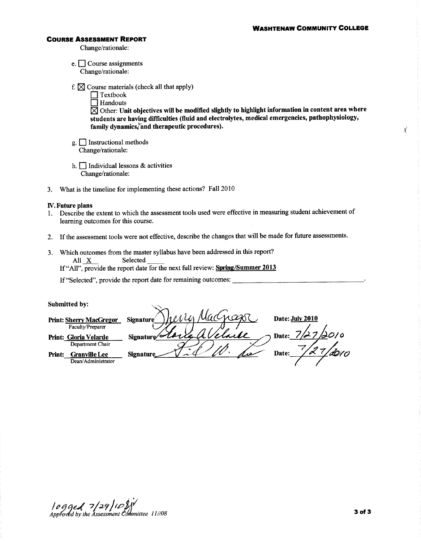#### **WASHTENAW COMMUNITY COLLEGE**

χ

#### **COURSE ASSESSMENT REPORT**

Change/rationale:

e.  $\Box$  Course assignments Change/rationale:

f.  $\boxtimes$  Course materials (check all that apply)

 $\Box$  Textbook

 $\Box$  Handouts  $\boxtimes$  Other: Unit objectives will be modified slightly to highlight information in content area where students are having difficulties (fluid and electrolytes, medical emergencies, pathophysiology, family dynamics/and therapeutic procedures).

- $g.$  Instructional methods Change/rationale:
- h.  $\Box$  Individual lessons & activities Change/rationale:
- What is the timeline for implementing these actions? Fall 2010  $3.$

### **IV.** Future plans

- 1. Describe the extent to which the assessment tools used were effective in measuring student achievement of learning outcomes for this course.
- 2. If the assessment tools were not effective, describe the changes that will be made for future assessments.
- 3. Which outcomes from the master syllabus have been addressed in this report? Selected All X

If "All", provide the report date for the next full review: Spring/Summer 2013

If "Selected", provide the report date for remaining outcomes:

### Submitted by:

|        | Submitted by:                  |                                          |
|--------|--------------------------------|------------------------------------------|
|        | <b>Print: Sherry MacGregor</b> | Date: July 2010<br><b>Signature</b>      |
|        | Faculty/Preparer               |                                          |
|        | Print: Gloria Velarde          | 1010<br>ull<br>Date:<br><b>Signature</b> |
|        | Department Chair               |                                          |
| Print: | Granville Lee                  | Date:<br><b>Signature</b><br>رەرج        |
|        | Dean/Administrator             |                                          |
|        |                                |                                          |

 $1099e$   $129109$ <br>Approved by the Assessment Committee 11/08